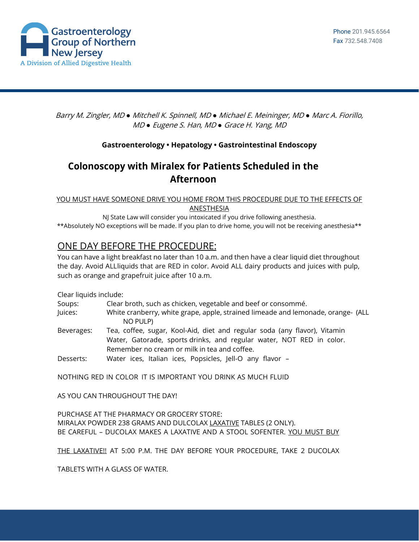

Barry M. Zingler, MD *●* Mitchell K. Spinnell, MD *●* Michael E. Meininger, MD *●* Marc A. Fiorillo, MD *●* Eugene S. Han, MD *●* Grace H. Yang, MD

## **Gastroenterology • Hepatology • Gastrointestinal Endoscopy**

# **Colonoscopy with Miralex for Patients Scheduled in the Afternoon**

YOU MUST HAVE SOMEONE DRIVE YOU HOME FROM THIS PROCEDURE DUE TO THE EFFECTS OF ANESTHESIA

NJ State Law will consider you intoxicated if you drive following anesthesia. \*\*Absolutely NO exceptions will be made. If you plan to drive home, you will not be receiving anesthesia\*\*

# ONE DAY BEFORE THE PROCEDURE:

You can have a light breakfast no later than 10 a.m. and then have a clear liquid diet throughout the day. Avoid ALLliquids that are RED in color. Avoid ALL dairy products and juices with pulp, such as orange and grapefruit juice after 10 a.m.

Clear liquids include:

| Soups:     | Clear broth, such as chicken, vegetable and beef or consommé.                                                                                                                                     |  |  |
|------------|---------------------------------------------------------------------------------------------------------------------------------------------------------------------------------------------------|--|--|
| Juices:    | White cranberry, white grape, apple, strained limeade and lemonade, orange- (ALL<br>NO PULP)                                                                                                      |  |  |
| Beverages: | Tea, coffee, sugar, Kool-Aid, diet and regular soda (any flavor), Vitamin<br>Water, Gatorade, sports drinks, and regular water, NOT RED in color.<br>Remember no cream or milk in tea and coffee. |  |  |
| Desserts:  | Water ices, Italian ices, Popsicles, Jell-O any flavor -                                                                                                                                          |  |  |

NOTHING RED IN COLOR IT IS IMPORTANT YOU DRINK AS MUCH FLUID

AS YOU CAN THROUGHOUT THE DAY!

PURCHASE AT THE PHARMACY OR GROCERY STORE: MIRALAX POWDER 238 GRAMS AND DULCOLAX LAXATIVE TABLES (2 ONLY). BE CAREFUL - DUCOLAX MAKES A LAXATIVE AND A STOOL SOFENTER. YOU MUST BUY

THE LAXATIVE!! AT 5:00 P.M. THE DAY BEFORE YOUR PROCEDURE, TAKE 2 DUCOLAX

TABLETS WITH A GLASS OF WATER.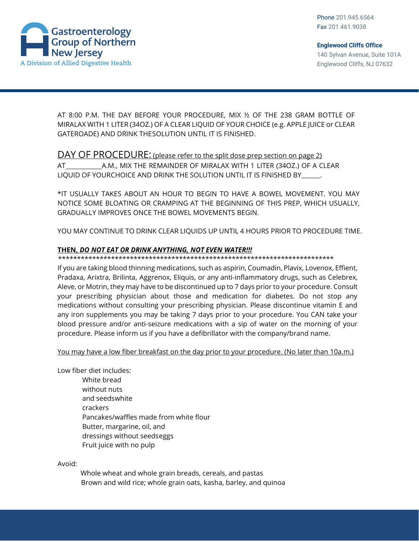



AT 8:00 P.M. THE DAY BEFORE YOUR PROCEDURE, MIX ½ OF THE 238 GRAM BOTTLE OF MIRALAX WITH 1 LITER (34OZ.) OF A CLEAR LIQUID OF YOUR CHOICE (e.g. APPLE JUICE or CLEAR GATEROADE) AND DRINK THESOLUTION UNTIL IT IS FINISHED.

## DAY OF PROCEDURE: (please refer to the split dose prep section on page 2)

AT A.M., MIX THE REMAINDER OF MIRALAX WITH 1 LITER (34OZ.) OF A CLEAR LIQUID OF YOURCHOICE AND DRINK THE SOLUTION UNTIL IT IS FINISHED BY .

\*IT USUALLY TAKES ABOUT AN HOUR TO BEGIN TO HAVE A BOWEL MOVEMENT. YOU MAY NOTICE SOME BLOATING OR CRAMPING AT THE BEGINNING OF THIS PREP, WHICH USUALLY, GRADUALLY IMPROVES ONCE THE BOWEL MOVEMENTS BEGIN.

YOU MAY CONTINUE TO DRINK CLEAR LIQUIDS UP UNTIL 4 HOURS PRIOR TO PROCEDURE TIME.

#### **THEN,** *DO NOT EAT OR DRINK ANYTHING, NOT EVEN WATER!!!*

#### \*\*\*\*\*\*\*\*\*\*\*\*\*\*\*\*\*\*\*\*\*\*\*\*\*\*\*\*\*\*\*\*\*\*\*\*\*\*\*\*\*\*\*\*\*\*\*\*\*\*\*\*\*\*\*\*\*\*\*\*\*\*\*\*\*\*\*\*\*\*\*\*\*

If you are taking blood thinning medications, such as aspirin, Coumadin, Plavix, Lovenox, Effient, Pradaxa, Arixtra, Brilinta, Aggrenox, Eliquis, or any anti-inflammatory drugs, such as Celebrex, Aleve, or Motrin, they may have to be discontinued up to 7 days prior to your procedure. Consult your prescribing physician about those and medication for diabetes. Do not stop any medications without consulting your prescribing physician. Please discontinue vitamin E and any iron supplements you may be taking 7 days prior to your procedure. You CAN take your blood pressure and/or anti-seizure medications with a sip of water on the morning of your procedure. Please inform us if you have a defibrillator with the company/brand name.

You may have a low fiber breakfast on the day prior to your procedure. (No later than 10a.m.)

Low fiber diet includes:

White bread without nuts and seedswhite crackers Pancakes/waffles made from white flour Butter, margarine, oil, and dressings without seedseggs Fruit juice with no pulp

Avoid:

 Whole wheat and whole grain breads, cereals, and pastas Brown and wild rice; whole grain oats, kasha, barley, and quinoa